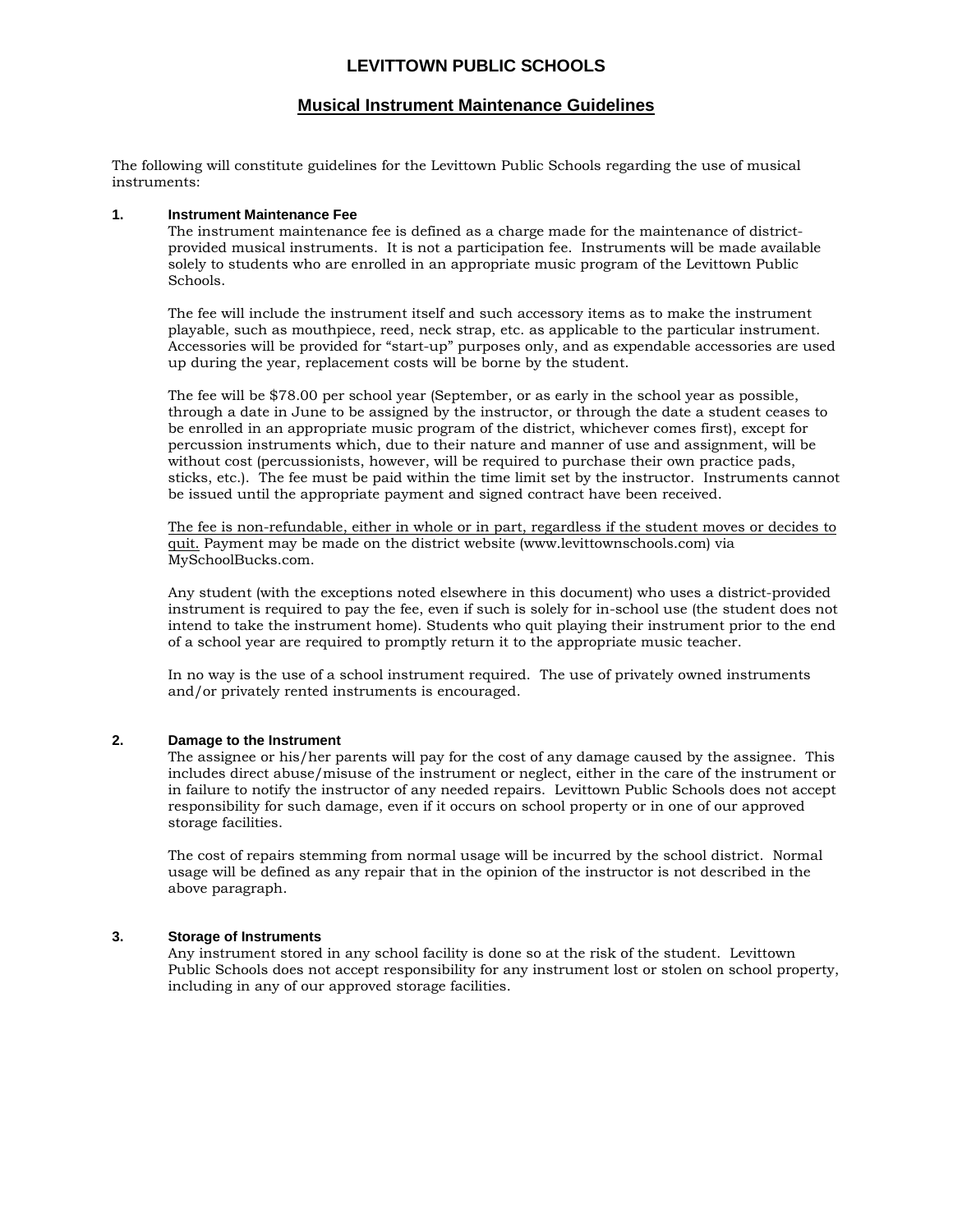### **LEVITTOWN PUBLIC SCHOOLS**

#### **Musical Instrument Maintenance Guidelines**

The following will constitute guidelines for the Levittown Public Schools regarding the use of musical instruments:

#### **1. Instrument Maintenance Fee**

The instrument maintenance fee is defined as a charge made for the maintenance of districtprovided musical instruments. It is not a participation fee. Instruments will be made available solely to students who are enrolled in an appropriate music program of the Levittown Public Schools.

The fee will include the instrument itself and such accessory items as to make the instrument playable, such as mouthpiece, reed, neck strap, etc. as applicable to the particular instrument. Accessories will be provided for "start-up" purposes only, and as expendable accessories are used up during the year, replacement costs will be borne by the student.

The fee will be \$78.00 per school year (September, or as early in the school year as possible, through a date in June to be assigned by the instructor, or through the date a student ceases to be enrolled in an appropriate music program of the district, whichever comes first), except for percussion instruments which, due to their nature and manner of use and assignment, will be without cost (percussionists, however, will be required to purchase their own practice pads, sticks, etc.). The fee must be paid within the time limit set by the instructor. Instruments cannot be issued until the appropriate payment and signed contract have been received.

The fee is non-refundable, either in whole or in part, regardless if the student moves or decides to quit. Payment may be made on the district website (www.levittownschools.com) via MySchoolBucks.com.

Any student (with the exceptions noted elsewhere in this document) who uses a district-provided instrument is required to pay the fee, even if such is solely for in-school use (the student does not intend to take the instrument home). Students who quit playing their instrument prior to the end of a school year are required to promptly return it to the appropriate music teacher.

In no way is the use of a school instrument required. The use of privately owned instruments and/or privately rented instruments is encouraged.

#### **2. Damage to the Instrument**

The assignee or his/her parents will pay for the cost of any damage caused by the assignee. This includes direct abuse/misuse of the instrument or neglect, either in the care of the instrument or in failure to notify the instructor of any needed repairs. Levittown Public Schools does not accept responsibility for such damage, even if it occurs on school property or in one of our approved storage facilities.

The cost of repairs stemming from normal usage will be incurred by the school district. Normal usage will be defined as any repair that in the opinion of the instructor is not described in the above paragraph.

#### **3. Storage of Instruments**

Any instrument stored in any school facility is done so at the risk of the student. Levittown Public Schools does not accept responsibility for any instrument lost or stolen on school property, including in any of our approved storage facilities.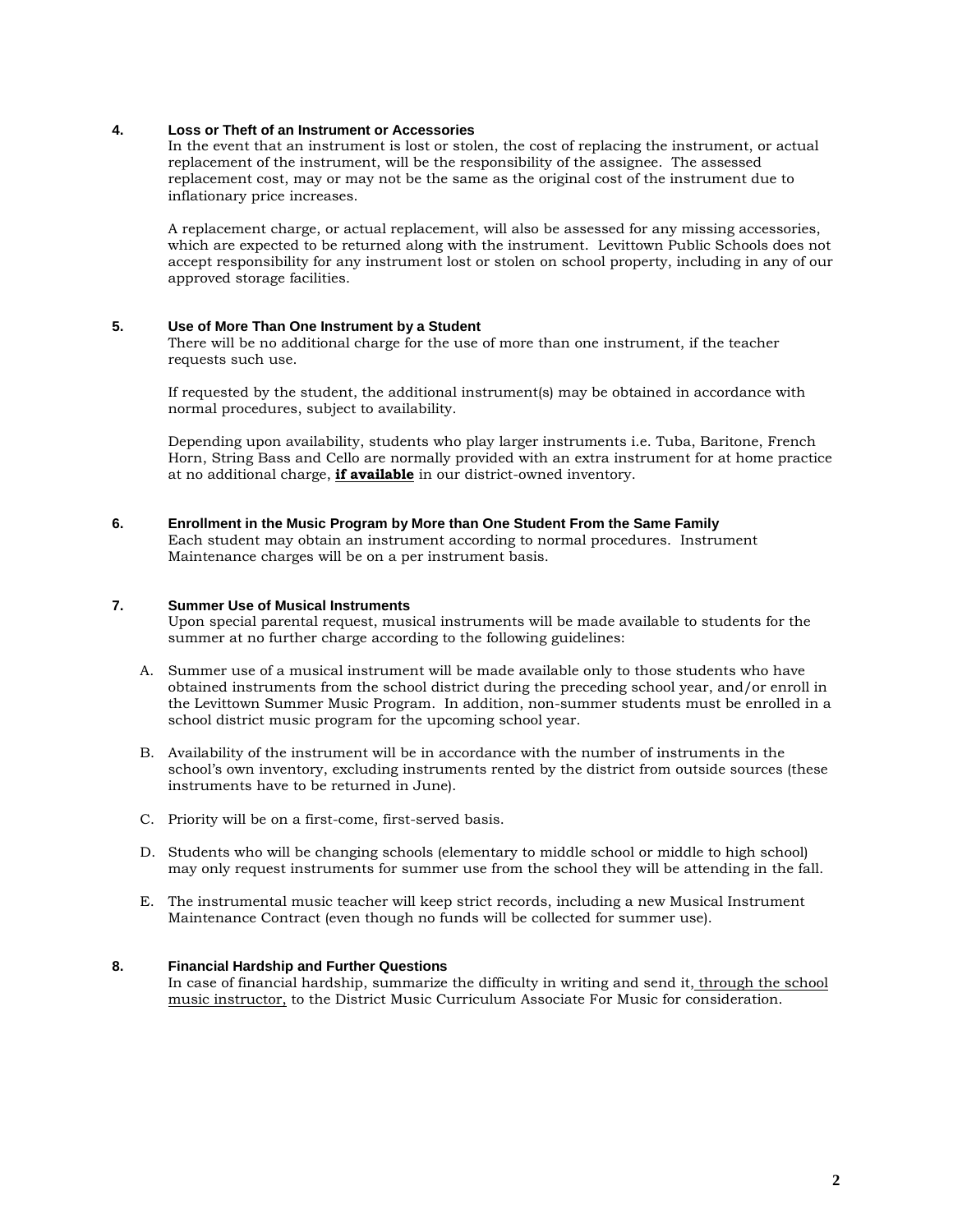#### **4. Loss or Theft of an Instrument or Accessories**

In the event that an instrument is lost or stolen, the cost of replacing the instrument, or actual replacement of the instrument, will be the responsibility of the assignee. The assessed replacement cost, may or may not be the same as the original cost of the instrument due to inflationary price increases.

A replacement charge, or actual replacement, will also be assessed for any missing accessories, which are expected to be returned along with the instrument. Levittown Public Schools does not accept responsibility for any instrument lost or stolen on school property, including in any of our approved storage facilities.

#### **5. Use of More Than One Instrument by a Student**

There will be no additional charge for the use of more than one instrument, if the teacher requests such use.

If requested by the student, the additional instrument(s) may be obtained in accordance with normal procedures, subject to availability.

Depending upon availability, students who play larger instruments i.e. Tuba, Baritone, French Horn, String Bass and Cello are normally provided with an extra instrument for at home practice at no additional charge, **if available** in our district-owned inventory.

**6. Enrollment in the Music Program by More than One Student From the Same Family** Each student may obtain an instrument according to normal procedures. Instrument Maintenance charges will be on a per instrument basis.

#### **7. Summer Use of Musical Instruments**

Upon special parental request, musical instruments will be made available to students for the summer at no further charge according to the following guidelines:

- A. Summer use of a musical instrument will be made available only to those students who have obtained instruments from the school district during the preceding school year, and/or enroll in the Levittown Summer Music Program. In addition, non-summer students must be enrolled in a school district music program for the upcoming school year.
- B. Availability of the instrument will be in accordance with the number of instruments in the school's own inventory, excluding instruments rented by the district from outside sources (these instruments have to be returned in June).
- C. Priority will be on a first-come, first-served basis.
- D. Students who will be changing schools (elementary to middle school or middle to high school) may only request instruments for summer use from the school they will be attending in the fall.
- E. The instrumental music teacher will keep strict records, including a new Musical Instrument Maintenance Contract (even though no funds will be collected for summer use).

#### **8. Financial Hardship and Further Questions**

In case of financial hardship, summarize the difficulty in writing and send it, through the school music instructor, to the District Music Curriculum Associate For Music for consideration.